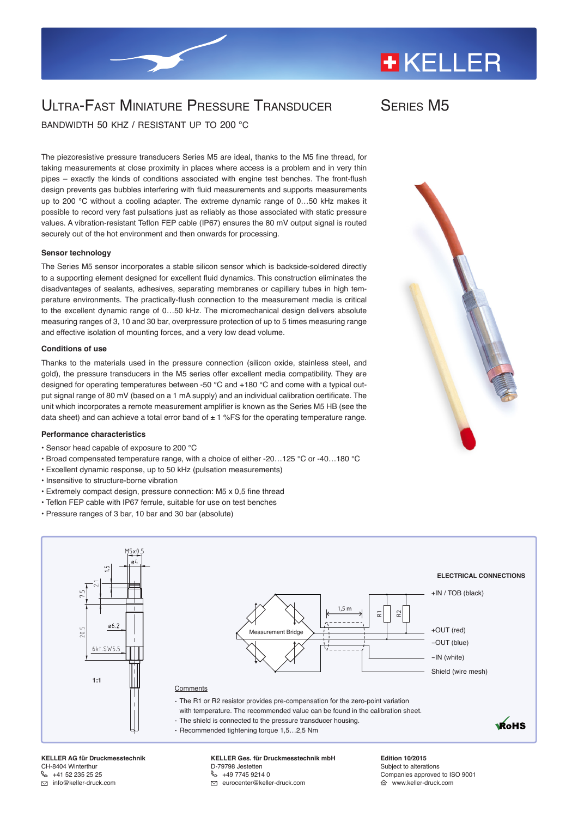# **+KELLER**

## ULTRA-FAST MINIATURE PRESSURE TRANSDUCER

Series M5

bandwidth 50 khz / resistant up to 200 °c

The piezoresistive pressure transducers Series M5 are ideal, thanks to the M5 fine thread, for taking measurements at close proximity in places where access is a problem and in very thin pipes – exactly the kinds of conditions associated with engine test benches. The front-flush design prevents gas bubbles interfering with fluid measurements and supports measurements up to 200 °C without a cooling adapter. The extreme dynamic range of 0...50 kHz makes it possible to record very fast pulsations just as reliably as those associated with static pressure values. A vibration-resistant Teflon FEP cable (IP67) ensures the 80 mV output signal is routed securely out of the hot environment and then onwards for processing.

#### **Sensor technology**

The Series M5 sensor incorporates a stable silicon sensor which is backside-soldered directly to a supporting element designed for excellent fluid dynamics. This construction eliminates the disadvantages of sealants, adhesives, separating membranes or capillary tubes in high temperature environments. The practically-flush connection to the measurement media is critical to the excellent dynamic range of 0…50 kHz. The micromechanical design delivers absolute measuring ranges of 3, 10 and 30 bar, overpressure protection of up to 5 times measuring range and effective isolation of mounting forces, and a very low dead volume.

#### **Conditions of use**

Thanks to the materials used in the pressure connection (silicon oxide, stainless steel, and gold), the pressure transducers in the M5 series offer excellent media compatibility. They are designed for operating temperatures between -50 °C and +180 °C and come with a typical output signal range of 80 mV (based on a 1 mA supply) and an individual calibration certificate. The unit which incorporates a remote measurement amplifier is known as the Series M5 HB (see the data sheet) and can achieve a total error band of  $\pm$  1 %FS for the operating temperature range.

#### **Performance characteristics**

- Sensor head capable of exposure to 200 °C
- Broad compensated temperature range, with a choice of either -20…125 °C or -40…180 °C
- Excellent dynamic response, up to 50 kHz (pulsation measurements)
- Insensitive to structure-borne vibration
- Extremely compact design, pressure connection: M5 x 0,5 fine thread
- Teflon FEP cable with IP67 ferrule, suitable for use on test benches
- Pressure ranges of 3 bar, 10 bar and 30 bar (absolute)





**KELLER AG für Druckmesstechnik** CH-8404 Winterthur  $\& 141522352525$ info@keller-druck.com

**KELLER Ges. für Druckmesstechnik mbH** D-79798 Jestetten  $\%$  [+49 7745 9214 0](tel:0049774592140) eurocenter@keller-druck.com

**Edition 10/2015** Subject to alterations Companies approved to ISO 9001 www.keller-druck.com